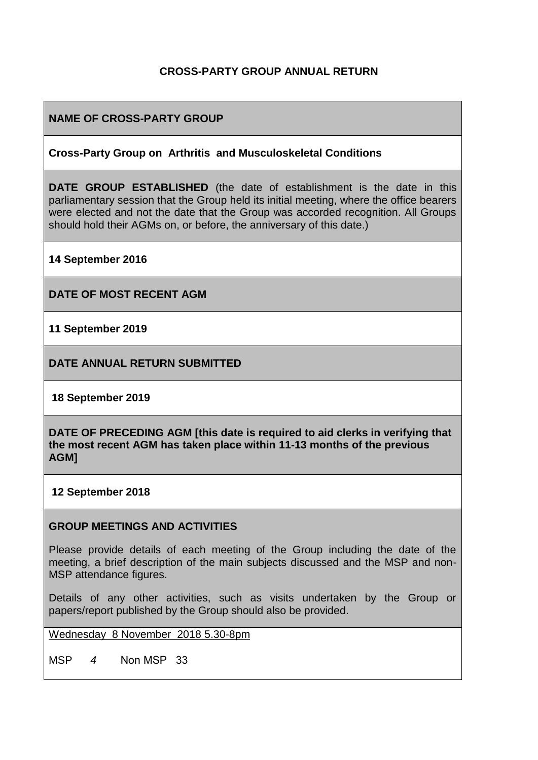## **CROSS-PARTY GROUP ANNUAL RETURN**

## **NAME OF CROSS-PARTY GROUP**

### **Cross-Party Group on Arthritis and Musculoskeletal Conditions**

**DATE GROUP ESTABLISHED** (the date of establishment is the date in this parliamentary session that the Group held its initial meeting, where the office bearers were elected and not the date that the Group was accorded recognition. All Groups should hold their AGMs on, or before, the anniversary of this date.)

**14 September 2016**

**DATE OF MOST RECENT AGM**

**11 September 2019**

**DATE ANNUAL RETURN SUBMITTED**

**18 September 2019**

**DATE OF PRECEDING AGM [this date is required to aid clerks in verifying that the most recent AGM has taken place within 11-13 months of the previous AGM]**

#### **12 September 2018**

### **GROUP MEETINGS AND ACTIVITIES**

Please provide details of each meeting of the Group including the date of the meeting, a brief description of the main subjects discussed and the MSP and non-MSP attendance figures.

Details of any other activities, such as visits undertaken by the Group or papers/report published by the Group should also be provided.

### Wednesday 8 November 2018 5.30-8pm

MSP *4* Non MSP 33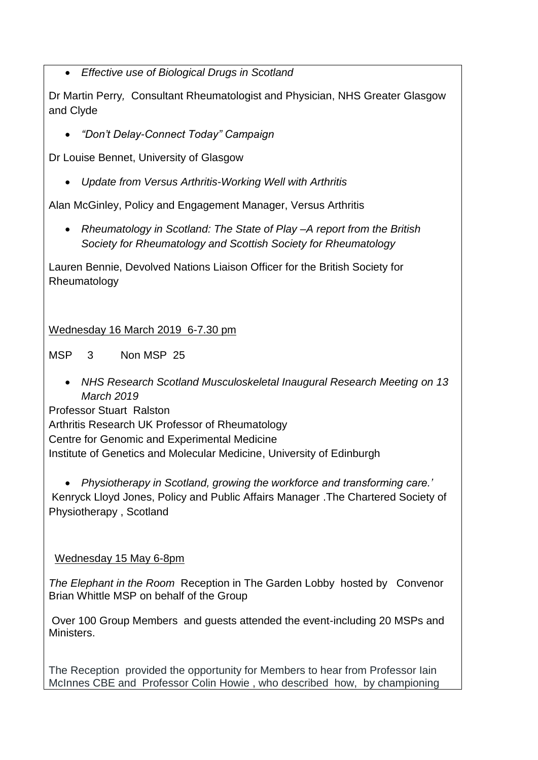• *Effective use of Biological Drugs in Scotland*

Dr Martin Perry*,* Consultant Rheumatologist and Physician, NHS Greater Glasgow and Clyde

• *"Don't Delay-Connect Today" Campaign*

Dr Louise Bennet, University of Glasgow

• *Update from Versus Arthritis-Working Well with Arthritis*

Alan McGinley, Policy and Engagement Manager, Versus Arthritis

• *Rheumatology in Scotland: The State of Play –A report from the British Society for Rheumatology and Scottish Society for Rheumatology*

Lauren Bennie, Devolved Nations Liaison Officer for the British Society for Rheumatology

Wednesday 16 March 2019 6-7.30 pm

MSP 3 Non MSP 25

• *NHS Research Scotland Musculoskeletal Inaugural Research Meeting on 13 March 2019*

Professor Stuart Ralston

Arthritis Research UK Professor of Rheumatology

Centre for Genomic and Experimental Medicine

Institute of Genetics and Molecular Medicine, University of Edinburgh

• *Physiotherapy in Scotland, growing the workforce and transforming care.'*  Kenryck Lloyd Jones, Policy and Public Affairs Manager .The Chartered Society of Physiotherapy , Scotland

## Wednesday 15 May 6-8pm

*The Elephant in the Room* Reception in The Garden Lobby hosted by Convenor Brian Whittle MSP on behalf of the Group

Over 100 Group Members and guests attended the event-including 20 MSPs and Ministers.

The Reception provided the opportunity for Members to hear from Professor Iain McInnes CBE and Professor Colin Howie , who described how, by championing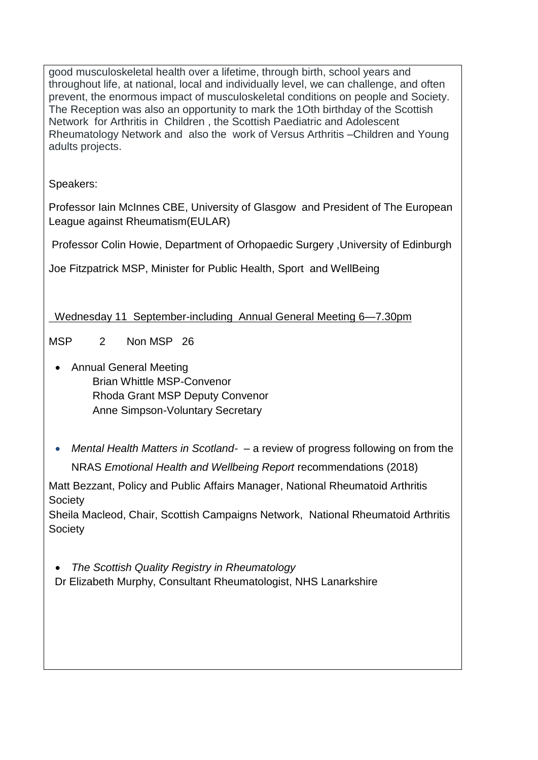good musculoskeletal health over a lifetime, through birth, school years and throughout life, at national, local and individually level, we can challenge, and often prevent, the enormous impact of musculoskeletal conditions on people and Society. The Reception was also an opportunity to mark the 1Oth birthday of the Scottish Network for Arthritis in Children , the Scottish Paediatric and Adolescent Rheumatology Network and also the work of Versus Arthritis –Children and Young adults projects.

Speakers:

Professor Iain McInnes CBE, University of Glasgow and President of The European League against Rheumatism(EULAR)

Professor Colin Howie, Department of Orhopaedic Surgery ,University of Edinburgh

Joe Fitzpatrick MSP, Minister for Public Health, Sport and WellBeing

Wednesday 11 September-including Annual General Meeting 6—7.30pm

MSP 2 Non MSP 26

- Annual General Meeting Brian Whittle MSP-Convenor Rhoda Grant MSP Deputy Convenor Anne Simpson-Voluntary Secretary
- *Mental Health Matters in Scotland- –* a review of progress following on from the NRAS *Emotional Health and Wellbeing Report* recommendations (2018)

Matt Bezzant, Policy and Public Affairs Manager, National Rheumatoid Arthritis Society

Sheila Macleod, Chair, Scottish Campaigns Network, National Rheumatoid Arthritis Society

• *The Scottish Quality Registry in Rheumatology* Dr Elizabeth Murphy, Consultant Rheumatologist, NHS Lanarkshire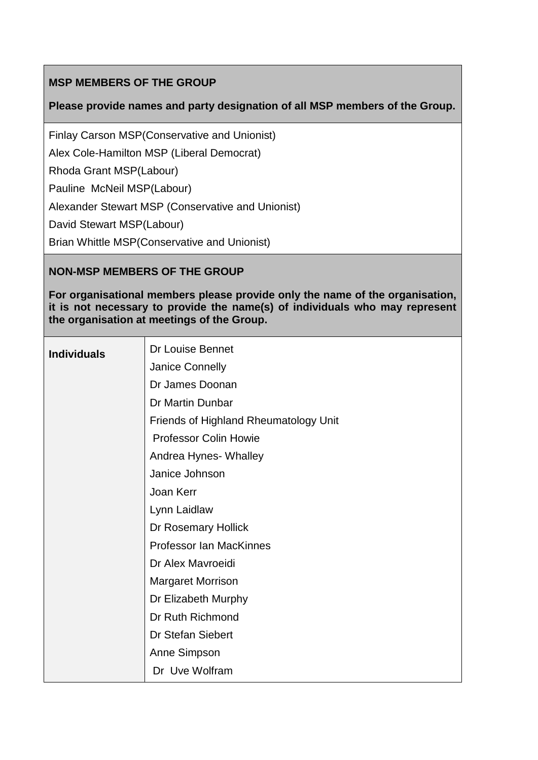# **MSP MEMBERS OF THE GROUP**

## **Please provide names and party designation of all MSP members of the Group.**

Finlay Carson MSP(Conservative and Unionist)

Alex Cole-Hamilton MSP (Liberal Democrat)

Rhoda Grant MSP(Labour)

Pauline McNeil MSP(Labour)

Alexander Stewart MSP (Conservative and Unionist)

David Stewart MSP(Labour)

Brian Whittle MSP(Conservative and Unionist)

## **NON-MSP MEMBERS OF THE GROUP**

**For organisational members please provide only the name of the organisation, it is not necessary to provide the name(s) of individuals who may represent the organisation at meetings of the Group.**

| <b>Individuals</b> | <b>Dr Louise Bennet</b>               |
|--------------------|---------------------------------------|
|                    | <b>Janice Connelly</b>                |
|                    | Dr James Doonan                       |
|                    | Dr Martin Dunbar                      |
|                    | Friends of Highland Rheumatology Unit |
|                    | <b>Professor Colin Howie</b>          |
|                    | Andrea Hynes- Whalley                 |
|                    | Janice Johnson                        |
|                    | Joan Kerr                             |
|                    | Lynn Laidlaw                          |
|                    | Dr Rosemary Hollick                   |
|                    | <b>Professor Ian MacKinnes</b>        |
|                    | Dr Alex Mayroeidi                     |
|                    | <b>Margaret Morrison</b>              |
|                    | Dr Elizabeth Murphy                   |
|                    | Dr Ruth Richmond                      |
|                    | Dr Stefan Siebert                     |
|                    | Anne Simpson                          |
|                    | Dr Uve Wolfram                        |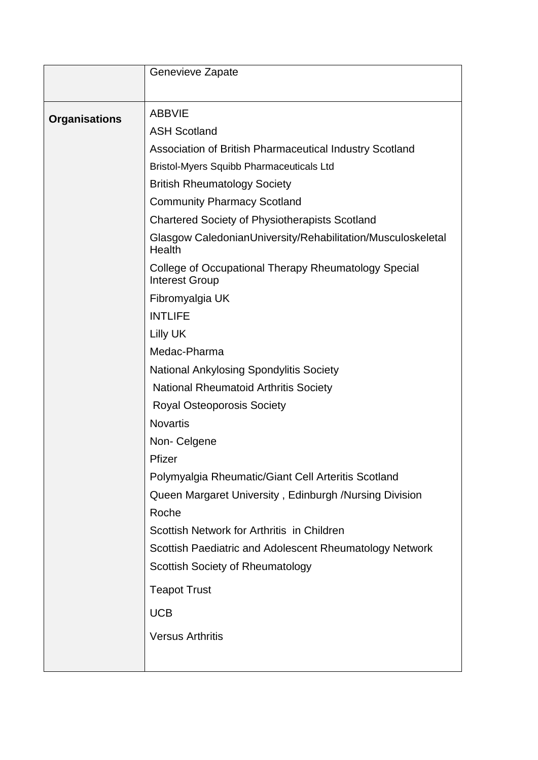|                      | Genevieve Zapate                                                              |
|----------------------|-------------------------------------------------------------------------------|
|                      |                                                                               |
| <b>Organisations</b> | <b>ABBVIE</b>                                                                 |
|                      | <b>ASH Scotland</b>                                                           |
|                      | Association of British Pharmaceutical Industry Scotland                       |
|                      | <b>Bristol-Myers Squibb Pharmaceuticals Ltd</b>                               |
|                      | <b>British Rheumatology Society</b>                                           |
|                      | <b>Community Pharmacy Scotland</b>                                            |
|                      | <b>Chartered Society of Physiotherapists Scotland</b>                         |
|                      | Glasgow CaledonianUniversity/Rehabilitation/Musculoskeletal<br>Health         |
|                      | College of Occupational Therapy Rheumatology Special<br><b>Interest Group</b> |
|                      | Fibromyalgia UK                                                               |
|                      | <b>INTLIFE</b>                                                                |
|                      | Lilly UK                                                                      |
|                      | Medac-Pharma                                                                  |
|                      | <b>National Ankylosing Spondylitis Society</b>                                |
|                      | <b>National Rheumatoid Arthritis Society</b>                                  |
|                      | <b>Royal Osteoporosis Society</b>                                             |
|                      | <b>Novartis</b>                                                               |
|                      | Non-Celgene                                                                   |
|                      | Pfizer                                                                        |
|                      | Polymyalgia Rheumatic/Giant Cell Arteritis Scotland                           |
|                      | Queen Margaret University, Edinburgh /Nursing Division                        |
|                      | Roche                                                                         |
|                      | Scottish Network for Arthritis in Children                                    |
|                      | Scottish Paediatric and Adolescent Rheumatology Network                       |
|                      | <b>Scottish Society of Rheumatology</b>                                       |
|                      | <b>Teapot Trust</b>                                                           |
|                      | <b>UCB</b>                                                                    |
|                      | <b>Versus Arthritis</b>                                                       |
|                      |                                                                               |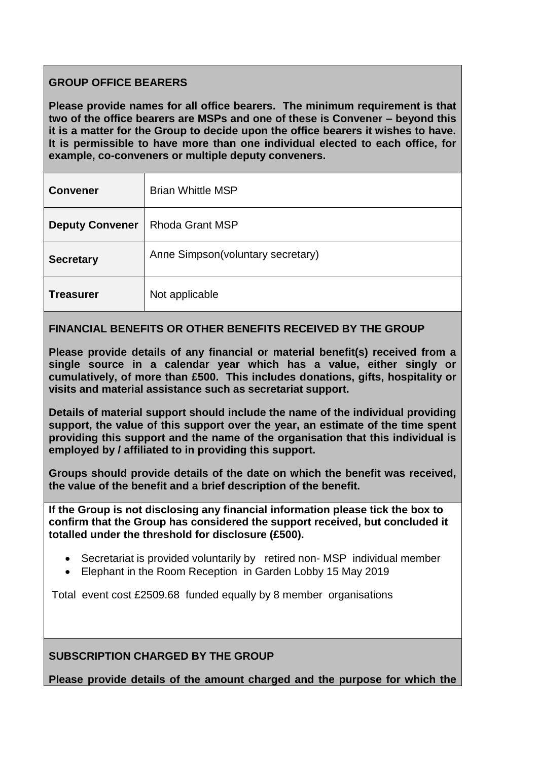## **GROUP OFFICE BEARERS**

**Please provide names for all office bearers. The minimum requirement is that two of the office bearers are MSPs and one of these is Convener – beyond this it is a matter for the Group to decide upon the office bearers it wishes to have. It is permissible to have more than one individual elected to each office, for example, co-conveners or multiple deputy conveners.**

| <b>Convener</b>        | <b>Brian Whittle MSP</b>          |
|------------------------|-----------------------------------|
| <b>Deputy Convener</b> | <b>Rhoda Grant MSP</b>            |
| <b>Secretary</b>       | Anne Simpson(voluntary secretary) |
| <b>Treasurer</b>       | Not applicable                    |

## **FINANCIAL BENEFITS OR OTHER BENEFITS RECEIVED BY THE GROUP**

**Please provide details of any financial or material benefit(s) received from a single source in a calendar year which has a value, either singly or cumulatively, of more than £500. This includes donations, gifts, hospitality or visits and material assistance such as secretariat support.** 

**Details of material support should include the name of the individual providing support, the value of this support over the year, an estimate of the time spent providing this support and the name of the organisation that this individual is employed by / affiliated to in providing this support.**

**Groups should provide details of the date on which the benefit was received, the value of the benefit and a brief description of the benefit.**

**If the Group is not disclosing any financial information please tick the box to confirm that the Group has considered the support received, but concluded it totalled under the threshold for disclosure (£500).** 

- Secretariat is provided voluntarily by retired non- MSP individual member
- Elephant in the Room Reception in Garden Lobby 15 May 2019

Total event cost £2509.68 funded equally by 8 member organisations

### **SUBSCRIPTION CHARGED BY THE GROUP**

**Please provide details of the amount charged and the purpose for which the**